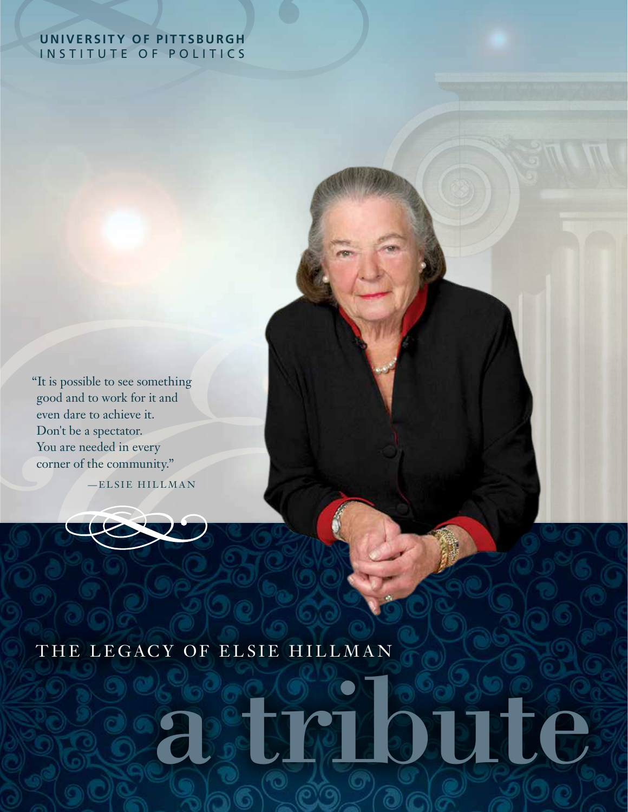#### **UNIVERSITY OF PITTSBURGH** INSTITUTE OF POLITICS

"It is possible to see something good and to work for it and even dare to achieve it. Don't be a spectator. You are needed in every corner of the community."

—ELSIE HILLMAN

# THE LEGACY OF ELSIE HILLMAN

# a tribute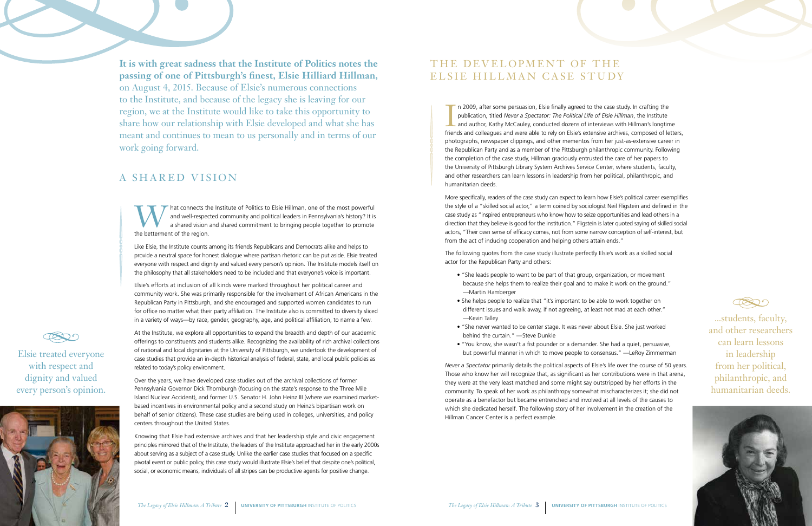

### THE DEVELOPMENT OF THE ELSIE HILLMAN CASE STUDY

I n 2009, after some persuasion, Elsie finally agreed to the case study. In crafting the publication, titled *Never a Spectator: The Political Life of Elsie Hillman*, the Institute and author, Kathy McCauley, conducted dozens of interviews with Hillman's longtime friends and colleagues and were able to rely on Elsie's extensive archives, composed of letters, photographs, newspaper clippings, and other mementos from her just-as-extensive career in the Republican Party and as a member of the Pittsburgh philanthropic community. Following the completion of the case study, Hillman graciously entrusted the care of her papers to the University of Pittsburgh Library System Archives Service Center, where students, faculty, and other researchers can learn lessons in leadership from her political, philanthropic, and humanitarian deeds.

More specifically, readers of the case study can expect to learn how Elsie's political career exemplifies the style of a "skilled social actor," a term coined by sociologist Neil Fligstein and defined in the case study as "inspired entrepreneurs who know how to seize opportunities and lead others in a direction that they believe is good for the institution." Fligstein is later quoted saying of skilled social actors, "Their own sense of efficacy comes, not from some narrow conception of self-interest, but from the act of inducing cooperation and helping others attain ends."

The following quotes from the case study illustrate perfectly Elsie's work as a skilled social actor for the Republican Party and others:

hat connects the Institute of Politics to Elsie Hillman, one of the most powerful<br>and well-respected community and political leaders in Pennsylvania's history? It is<br>a shared vision and shared commitment to bringing people and well-respected community and political leaders in Pennsylvania's history? It is a shared vision and shared commitment to bringing people together to promote the betterment of the region.

- "She leads people to want to be part of that group, organization, or movement because she helps them to realize their goal and to make it work on the ground." —Martin Hamberger
- She helps people to realize that "it's important to be able to work together on different issues and walk away, if not agreeing, at least not mad at each other." —Kevin Talley
- "She never wanted to be center stage. It was never about Elsie. She just worked behind the curtain." —Steve Dunkle
- "You know, she wasn't a fist pounder or a demander. She had a quiet, persuasive, but powerful manner in which to move people to consensus." —LeRoy Zimmerman

*Never a Spectator* primarily details the political aspects of Elsie's life over the course of 50 years. Those who know her will recognize that, as significant as her contributions were in that arena, they were at the very least matched and some might say outstripped by her efforts in the community. To speak of her work as philanthropy somewhat mischaracterizes it; she did not operate as a benefactor but became entrenched and involved at all levels of the causes to which she dedicated herself. The following story of her involvement in the creation of the Hillman Cancer Center is a perfect example.



...students, faculty, and other researchers can learn lessons in leadership from her political, philanthropic, and humanitarian deeds.



#### A SHARED VISION

Like Elsie, the Institute counts among its friends Republicans and Democrats alike and helps to provide a neutral space for honest dialogue where partisan rhetoric can be put aside. Elsie treated everyone with respect and dignity and valued every person's opinion. The Institute models itself on the philosophy that all stakeholders need to be included and that everyone's voice is important.

Elsie's efforts at inclusion of all kinds were marked throughout her political career and community work. She was primarily responsible for the involvement of African Americans in the Republican Party in Pittsburgh, and she encouraged and supported women candidates to run for office no matter what their party affiliation. The Institute also is committed to diversity sliced in a variety of ways—by race, gender, geography, age, and political affiliation, to name a few.

At the Institute, we explore all opportunities to expand the breadth and depth of our academic offerings to constituents and students alike. Recognizing the availability of rich archival collections of national and local dignitaries at the University of Pittsburgh, we undertook the development of case studies that provide an in-depth historical analysis of federal, state, and local public policies as related to today's policy environment.

Over the years, we have developed case studies out of the archival collections of former Pennsylvania Governor Dick Thornburgh (focusing on the state's response to the Three Mile Island Nuclear Accident), and former U.S. Senator H. John Heinz III (where we examined marketbased incentives in environmental policy and a second study on Heinz's bipartisan work on behalf of senior citizens). These case studies are being used in colleges, universities, and policy centers throughout the United States.

Knowing that Elsie had extensive archives and that her leadership style and civic engagement principles mirrored that of the Institute, the leaders of the Institute approached her in the early 2000s about serving as a subject of a case study. Unlike the earlier case studies that focused on a specific pivotal event or public policy, this case study would illustrate Elsie's belief that despite one's political, social, or economic means, individuals of all stripes can be productive agents for positive change.

**It is with great sadness that the Institute of Politics notes the passing of one of Pittsburgh's finest, Elsie Hilliard Hillman,**  on August 4, 2015. Because of Elsie's numerous connections to the Institute, and because of the legacy she is leaving for our region, we at the Institute would like to take this opportunity to share how our relationship with Elsie developed and what she has meant and continues to mean to us personally and in terms of our work going forward.

Elsie treated everyone with respect and dignity and valued every person's opinion.

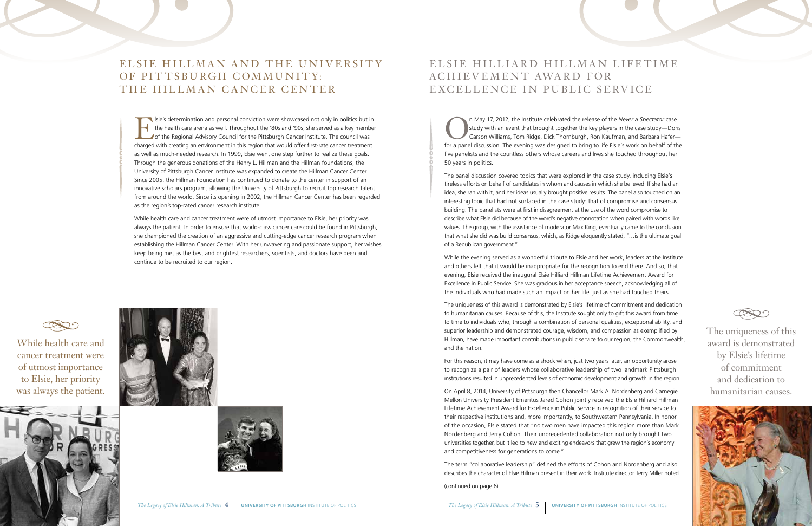



## ELSIE HILLIARD HILLMAN LIFETIME ACHIEVEMENT AWARD FOR EXCELLENCE IN PUBLIC SERVICE

On May 17, 2012, the Institute celebrated the release of the *Never a Spectator* case<br>study with an event that brought together the key players in the case study—Dori<br>Carson Williams, Tom Ridge, Dick Thornburgh, Ron Kaufma study with an event that brought together the key players in the case study—Doris Carson Williams, Tom Ridge, Dick Thornburgh, Ron Kaufman, and Barbara Hafer for a panel discussion. The evening was designed to bring to life Elsie's work on behalf of the five panelists and the countless others whose careers and lives she touched throughout her 50 years in politics.

The panel discussion covered topics that were explored in the case study, including Elsie's tireless efforts on behalf of candidates in whom and causes in which she believed. If she had an idea, she ran with it, and her ideas usually brought positive results. The panel also touched on an interesting topic that had not surfaced in the case study: that of compromise and consensus building. The panelists were at first in disagreement at the use of the word compromise to describe what Elsie did because of the word's negative connotation when paired with words like values. The group, with the assistance of moderator Max King, eventually came to the conclusion that what she did was build consensus, which, as Ridge eloquently stated, "…is the ultimate goal of a Republican government."

While the evening served as a wonderful tribute to Elsie and her work, leaders at the Institute and others felt that it would be inappropriate for the recognition to end there. And so, that evening, Elsie received the inaugural Elsie Hilliard Hillman Lifetime Achievement Award for Excellence in Public Service. She was gracious in her acceptance speech, acknowledging all of the individuals who had made such an impact on her life, just as she had touched theirs.

# ELSIE HILLMAN AND THE UNIVERSITY OF PITTSBURGH COMMUNITY: THE HILLMAN CANCER CENTER

The uniqueness of this award is demonstrated by Elsie's lifetime of commitment and dedication to humanitarian causes. Because of this, the Institute sought only to gift this award from time to time to individuals who, through a combination of personal qualities, exceptional ability, and superior leadership and demonstrated courage, wisdom, and compassion as exemplified by Hillman, have made important contributions in public service to our region, the Commonwealth, and the nation.

Sie's determination and personal conviction were showcased not only in politics but in<br>the health care arena as well. Throughout the '80s and '90s, she served as a key member<br>of the Regional Advisory Council for the Pittsb the health care arena as well. Throughout the '80s and '90s, she served as a key member of the Regional Advisory Council for the Pittsburgh Cancer Institute. The council was charged with creating an environment in this region that would offer first-rate cancer treatment as well as much-needed research. In 1999, Elsie went one step further to realize these goals. Through the generous donations of the Henry L. Hillman and the Hillman foundations, the University of Pittsburgh Cancer Institute was expanded to create the Hillman Cancer Center. Since 2005, the Hillman Foundation has continued to donate to the center in support of an innovative scholars program, allowing the University of Pittsburgh to recruit top research talent from around the world. Since its opening in 2002, the Hillman Cancer Center has been regarded as the region's top-rated cancer research institute.

> For this reason, it may have come as a shock when, just two years later, an opportunity arose to recognize a pair of leaders whose collaborative leadership of two landmark Pittsburgh institutions resulted in unprecedented levels of economic development and growth in the region.

> On April 8, 2014, University of Pittsburgh then Chancellor Mark A. Nordenberg and Carnegie Mellon University President Emeritus Jared Cohon jointly received the Elsie Hilliard Hillman Lifetime Achievement Award for Excellence in Public Service in recognition of their service to their respective institutions and, more importantly, to Southwestern Pennsylvania. In honor of the occasion, Elsie stated that "no two men have impacted this region more than Mark Nordenberg and Jerry Cohon. Their unprecedented collaboration not only brought two universities together, but it led to new and exciting endeavors that grew the region's economy and competitiveness for generations to come."

> The term "collaborative leadership" defined the efforts of Cohon and Nordenberg and also describes the character of Elsie Hillman present in their work. Institute director Terry Miller noted

(continued on page 6)

The uniqueness of this award is demonstrated by Elsie's lifetime of commitment and dedication to humanitarian causes.



While health care and cancer treatment were of utmost importance to Elsie, her priority was always the patient. In order to ensure that world-class cancer care could be found in Pittsburgh, she championed the creation of an aggressive and cutting-edge cancer research program when establishing the Hillman Cancer Center. With her unwavering and passionate support, her wishes keep being met as the best and brightest researchers, scientists, and doctors have been and continue to be recruited to our region.



While health care and cancer treatment were of utmost importance to Elsie, her priority was always the patient.





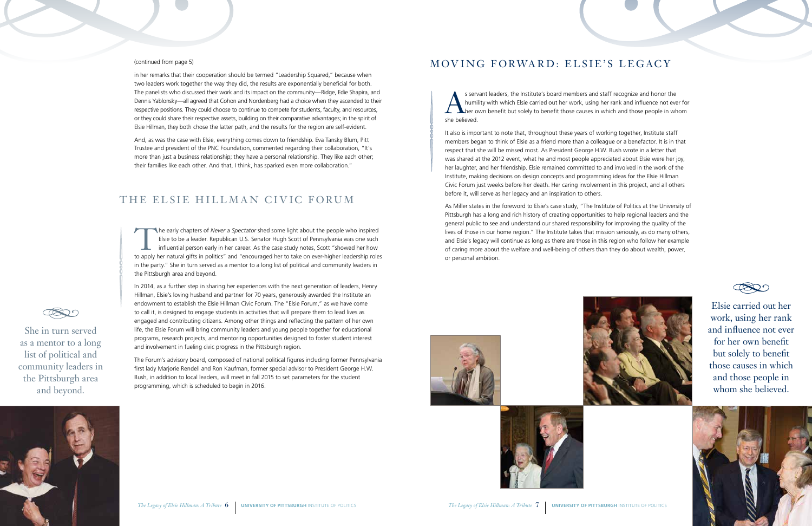



s servant leaders, the Institute's board members and staff recognize and honor the humility with which Elsie carried out her work, using her rank and influence not ever<br>the policy with which and those causes in which and t humility with which Elsie carried out her work, using her rank and influence not ever for her own benefit but solely to benefit those causes in which and those people in whom she believed.

It also is important to note that, throughout these years of working together, Institute staff members began to think of Elsie as a friend more than a colleague or a benefactor. It is in that respect that she will be missed most. As President George H.W. Bush wrote in a letter that was shared at the 2012 event, what he and most people appreciated about Elsie were her joy, her laughter, and her friendship. Elsie remained committed to and involved in the work of the Institute, making decisions on design concepts and programming ideas for the Elsie Hillman Civic Forum just weeks before her death. Her caring involvement in this project, and all others before it, will serve as her legacy and an inspiration to others.

As Miller states in the foreword to Elsie's case study, "The Institute of Politics at the University of Pittsburgh has a long and rich history of creating opportunities to help regional leaders and the general public to see and understand our shared responsibility for improving the quality of the lives of those in our home region." The Institute takes that mission seriously, as do many others, and Elsie's legacy will continue as long as there are those in this region who follow her example of caring more about the welfare and well-being of others than they do about wealth, power, or personal ambition.



The early chapters of *Never a Spectator* shed some light about the people who inspired Elsie to be a leader. Republican U.S. Senator Hugh Scott of Pennsylvania was one such influential person early in her career. As the case study notes, Scott "showed her how to apply her natural gifts in politics" and "encouraged her to take on ever-higher leadership roles in the party." She in turn served as a mentor to a long list of political and community leaders in the Pittsburgh area and beyond.

> Elsie carried out her work, using her rank and influence not ever for her own benefit but solely to benefit those causes in which and those people in whom she believed.



#### (continued from page 5)

in her remarks that their cooperation should be termed "Leadership Squared," because when two leaders work together the way they did, the results are exponentially beneficial for both. The panelists who discussed their work and its impact on the community—Ridge, Edie Shapira, and Dennis Yablonsky—all agreed that Cohon and Nordenberg had a choice when they ascended to their respective positions. They could choose to continue to compete for students, faculty, and resources, or they could share their respective assets, building on their comparative advantages; in the spirit of Elsie Hillman, they both chose the latter path, and the results for the region are self-evident.

And, as was the case with Elsie, everything comes down to friendship. Eva Tansky Blum, Pitt Trustee and president of the PNC Foundation, commented regarding their collaboration, "It's more than just a business relationship; they have a personal relationship. They like each other; their families like each other. And that, I think, has sparked even more collaboration."

#### THE ELSIE HILLMAN CIVIC FORUM

In 2014, as a further step in sharing her experiences with the next generation of leaders, Henry Hillman, Elsie's loving husband and partner for 70 years, generously awarded the Institute an endowment to establish the Elsie Hillman Civic Forum. The "Elsie Forum," as we have come to call it, is designed to engage students in activities that will prepare them to lead lives as engaged and contributing citizens. Among other things and reflecting the pattern of her own life, the Elsie Forum will bring community leaders and young people together for educational programs, research projects, and mentoring opportunities designed to foster student interest and involvement in fueling civic progress in the Pittsburgh region.

The Forum's advisory board, composed of national political figures including former Pennsylvania first lady Marjorie Rendell and Ron Kaufman, former special advisor to President George H.W. Bush, in addition to local leaders, will meet in fall 2015 to set parameters for the student programming, which is scheduled to begin in 2016.

#### MOVING FORWARD: ELSIE'S LEGACY

She in turn served as a mentor to a long list of political and community leaders in the Pittsburgh area and beyond.